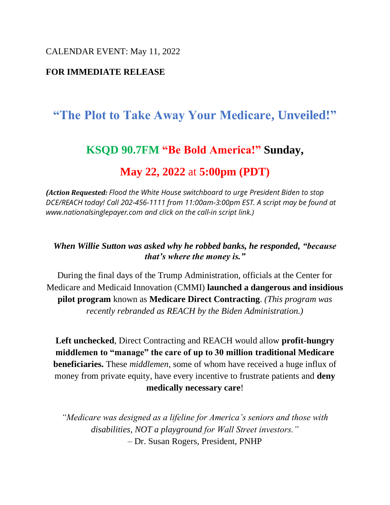CALENDAR EVENT: May 11, 2022

### **FOR IMMEDIATE RELEASE**

# **"The Plot to Take Away Your Medicare, Unveiled!"**

## **KSQD 90.7FM "Be Bold America!" Sunday,**

# **May 22, 2022** at **5:00pm (PDT)**

*(Action Requested: Flood the White House switchboard to urge President Biden to stop DCE/REACH today! Call 202-456-1111 from 11:00am-3:00pm EST. A script may be found at www.nationalsinglepayer.com and click on the call-in script link.)*

#### *When Willie Sutton was asked why he robbed banks, he responded, "because that's where the money is."*

During the final days of the Trump Administration, officials at the Center for Medicare and Medicaid Innovation (CMMI) **launched a dangerous and insidious pilot program** known as **Medicare Direct Contracting**. *(This program was recently rebranded as REACH by the Biden Administration.)*

**Left unchecked**, Direct Contracting and REACH would allow **profit-hungry middlemen to "manage" the care of up to 30 million traditional Medicare beneficiaries.** These *middlemen*, some of whom have received a huge influx of money from private equity, have every incentive to frustrate patients and **deny medically necessary care**!

*"Medicare was designed as a lifeline for America's seniors and those with disabilities, NOT a playground for Wall Street investors."* – Dr. Susan Rogers, President, PNHP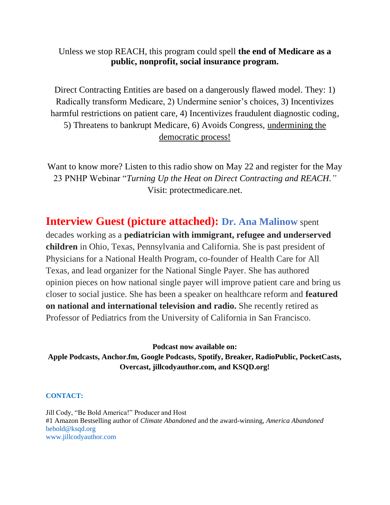### Unless we stop REACH, this program could spell **the end of Medicare as a public, nonprofit, social insurance program.**

Direct Contracting Entities are based on a dangerously flawed model. They: 1) Radically transform Medicare, 2) Undermine senior's choices, 3) Incentivizes harmful restrictions on patient care, 4) Incentivizes fraudulent diagnostic coding, 5) Threatens to bankrupt Medicare, 6) Avoids Congress, undermining the democratic process!

Want to know more? Listen to this radio show on May 22 and register for the May 23 PNHP Webinar "*Turning Up the Heat on Direct Contracting and REACH."* Visit: protectmedicare.net.

**Interview Guest (picture attached): Dr. Ana Malinow** spent decades working as a **pediatrician with immigrant, refugee and underserved children** in Ohio, Texas, Pennsylvania and California. She is past president of Physicians for a National Health Program, co-founder of Health Care for All Texas, and lead organizer for the National Single Payer. She has authored opinion pieces on how national single payer will improve patient care and bring us closer to social justice. She has been a speaker on healthcare reform and **featured on national and international television and radio.** She recently retired as Professor of Pediatrics from the University of California in San Francisco.

**Podcast now available on: Apple Podcasts, Anchor.fm, Google Podcasts, Spotify, Breaker, RadioPublic, PocketCasts, Overcast, jillcodyauthor.com, and KSQD.org!**

**CONTACT:** 

Jill Cody, "Be Bold America!" Producer and Host #1 Amazon Bestselling author of *Climate Abandoned* and the award-winning, *America Abandoned*  bebold@ksqd.org www.jillcodyauthor.com